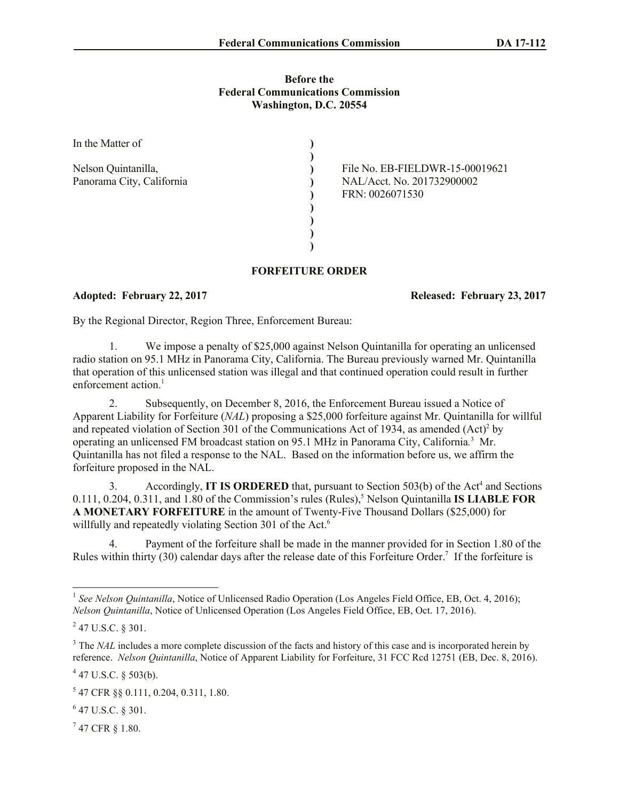## **Before the Federal Communications Commission Washington, D.C. 20554**

| In the Matter of                                 |                                                               |  |
|--------------------------------------------------|---------------------------------------------------------------|--|
| Nelson Quintanilla,<br>Panorama City, California | File No. EB-FIELDWR-15-00019621<br>NAL/Acct. No. 201732900002 |  |
|                                                  | FRN: 0026071530                                               |  |
|                                                  |                                                               |  |
|                                                  |                                                               |  |

## **FORFEITURE ORDER**

## **Adopted: February 22, 2017 Released: February 23, 2017**

By the Regional Director, Region Three, Enforcement Bureau:

1. We impose a penalty of \$25,000 against Nelson Quintanilla for operating an unlicensed radio station on 95.1 MHz in Panorama City, California. The Bureau previously warned Mr. Quintanilla that operation of this unlicensed station was illegal and that continued operation could result in further enforcement action.<sup>1</sup>

2. Subsequently, on December 8, 2016, the Enforcement Bureau issued a Notice of Apparent Liability for Forfeiture (*NAL*) proposing a \$25,000 forfeiture against Mr. Quintanilla for willful and repeated violation of Section 301 of the Communications Act of 1934, as amended  $(Act)^2$  by operating an unlicensed FM broadcast station on 95.1 MHz in Panorama City, California.<sup>3</sup> Mr. Quintanilla has not filed a response to the NAL. Based on the information before us, we affirm the forfeiture proposed in the NAL.

3. Accordingly, **IT IS ORDERED** that, pursuant to Section 503(b) of the Act<sup>4</sup> and Sections 0.111, 0.204, 0.311, and 1.80 of the Commission's rules (Rules), <sup>5</sup> Nelson Quintanilla **IS LIABLE FOR A MONETARY FORFEITURE** in the amount of Twenty-Five Thousand Dollars (\$25,000) for willfully and repeatedly violating Section 301 of the Act.<sup>6</sup>

4. Payment of the forfeiture shall be made in the manner provided for in Section 1.80 of the Rules within thirty (30) calendar days after the release date of this Forfeiture Order.<sup>7</sup> If the forfeiture is

l

 $747$  CFR § 1.80.

<sup>&</sup>lt;sup>1</sup> See Nelson Quintanilla, Notice of Unlicensed Radio Operation (Los Angeles Field Office, EB, Oct. 4, 2016); *Nelson Quintanilla*, Notice of Unlicensed Operation (Los Angeles Field Office, EB, Oct. 17, 2016).

 $^{2}$  47 U.S.C. § 301.

<sup>&</sup>lt;sup>3</sup> The *NAL* includes a more complete discussion of the facts and history of this case and is incorporated herein by reference. *Nelson Quintanilla*, Notice of Apparent Liability for Forfeiture, 31 FCC Rcd 12751 (EB, Dec. 8, 2016).

 $447$  U.S.C. § 503(b).

<sup>5</sup> 47 CFR §§ 0.111, 0.204, 0.311, 1.80.

 $6$  47 U.S.C. § 301.